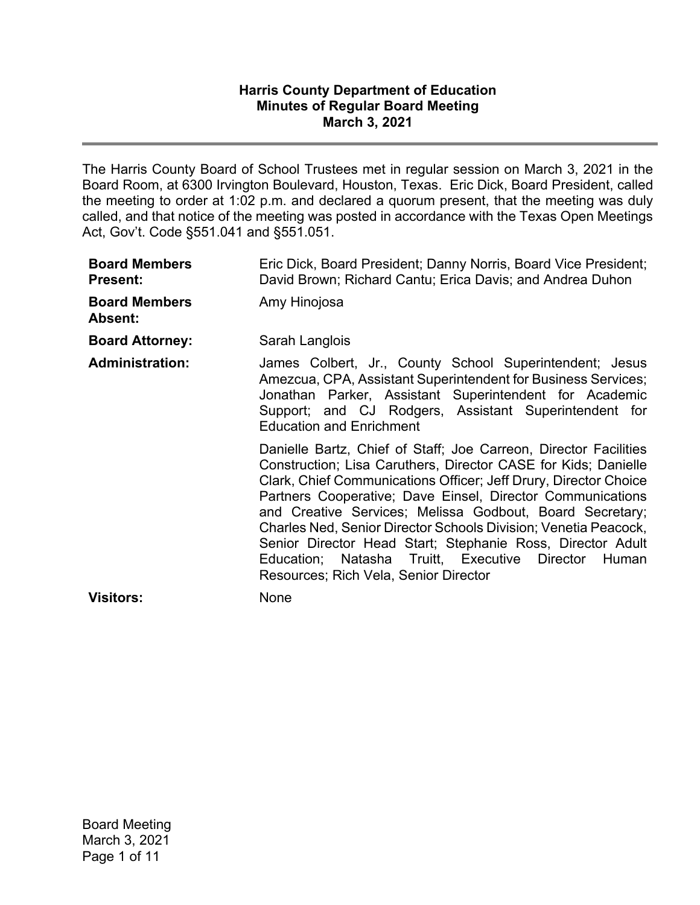## **Harris County Department of Education Minutes of Regular Board Meeting March 3, 2021**

The Harris County Board of School Trustees met in regular session on March 3, 2021 in the Board Room, at 6300 Irvington Boulevard, Houston, Texas. Eric Dick, Board President, called the meeting to order at 1:02 p.m. and declared a quorum present, that the meeting was duly called, and that notice of the meeting was posted in accordance with the Texas Open Meetings Act, Gov't. Code §551.041 and §551.051.

| <b>Board Members</b><br><b>Present:</b> | Eric Dick, Board President; Danny Norris, Board Vice President;<br>David Brown; Richard Cantu; Erica Davis; and Andrea Duhon                                                                                                                                                                                                                                                                                                                                                                                                                                         |
|-----------------------------------------|----------------------------------------------------------------------------------------------------------------------------------------------------------------------------------------------------------------------------------------------------------------------------------------------------------------------------------------------------------------------------------------------------------------------------------------------------------------------------------------------------------------------------------------------------------------------|
| <b>Board Members</b><br>Absent:         | Amy Hinojosa                                                                                                                                                                                                                                                                                                                                                                                                                                                                                                                                                         |
| <b>Board Attorney:</b>                  | Sarah Langlois                                                                                                                                                                                                                                                                                                                                                                                                                                                                                                                                                       |
| <b>Administration:</b>                  | James Colbert, Jr., County School Superintendent; Jesus<br>Amezcua, CPA, Assistant Superintendent for Business Services;<br>Jonathan Parker, Assistant Superintendent for Academic<br>Support; and CJ Rodgers, Assistant Superintendent for<br><b>Education and Enrichment</b>                                                                                                                                                                                                                                                                                       |
|                                         | Danielle Bartz, Chief of Staff; Joe Carreon, Director Facilities<br>Construction; Lisa Caruthers, Director CASE for Kids; Danielle<br>Clark, Chief Communications Officer; Jeff Drury, Director Choice<br>Partners Cooperative; Dave Einsel, Director Communications<br>and Creative Services; Melissa Godbout, Board Secretary;<br>Charles Ned, Senior Director Schools Division; Venetia Peacock,<br>Senior Director Head Start; Stephanie Ross, Director Adult<br>Education; Natasha Truitt, Executive Director<br>Human<br>Resources; Rich Vela, Senior Director |
| <b>Visitors:</b>                        | None                                                                                                                                                                                                                                                                                                                                                                                                                                                                                                                                                                 |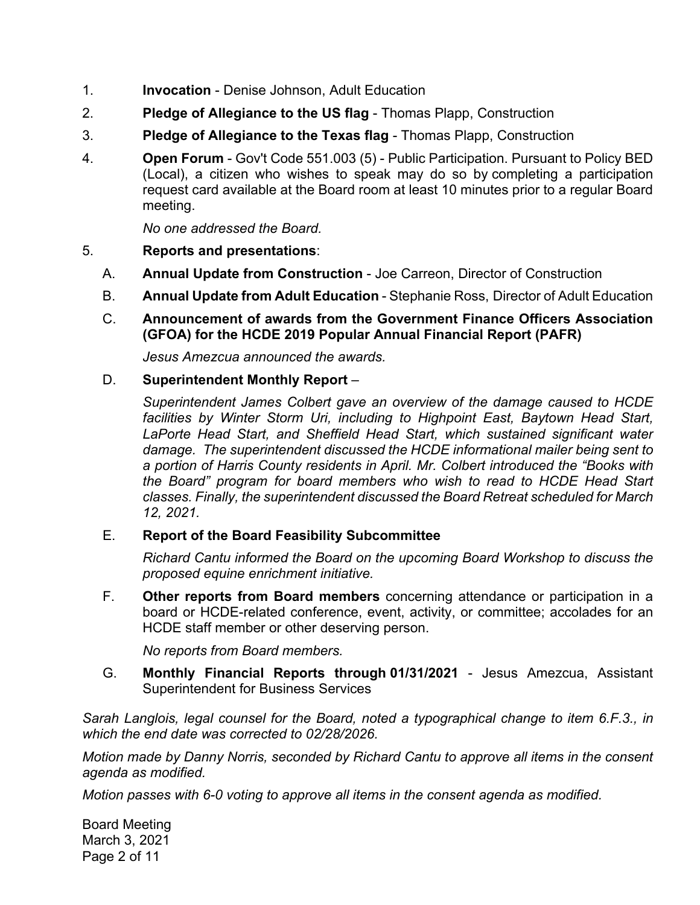- 1. **Invocation** Denise Johnson, Adult Education
- 2. **Pledge of Allegiance to the US flag** Thomas Plapp, Construction
- 3. **Pledge of Allegiance to the Texas flag** Thomas Plapp, Construction
- 4. **Open Forum** Gov't Code 551.003 (5) Public Participation. Pursuant to Policy BED (Local), a citizen who wishes to speak may do so by completing a participation request card available at the Board room at least 10 minutes prior to a regular Board meeting.

*No one addressed the Board.* 

## 5. **Reports and presentations**:

- A. **Annual Update from Construction** Joe Carreon, Director of Construction
- B. **Annual Update from Adult Education** Stephanie Ross, Director of Adult Education
- C. **Announcement of awards from the Government Finance Officers Association (GFOA) for the HCDE 2019 Popular Annual Financial Report (PAFR)**

*Jesus Amezcua announced the awards.* 

### D. **Superintendent Monthly Report** –

*Superintendent James Colbert gave an overview of the damage caused to HCDE facilities by Winter Storm Uri, including to Highpoint East, Baytown Head Start, LaPorte Head Start, and Sheffield Head Start, which sustained significant water damage. The superintendent discussed the HCDE informational mailer being sent to a portion of Harris County residents in April. Mr. Colbert introduced the "Books with the Board" program for board members who wish to read to HCDE Head Start classes. Finally, the superintendent discussed the Board Retreat scheduled for March 12, 2021.* 

## E. **Report of the Board Feasibility Subcommittee**

*Richard Cantu informed the Board on the upcoming Board Workshop to discuss the proposed equine enrichment initiative.* 

F. **Other reports from Board members** concerning attendance or participation in a board or HCDE-related conference, event, activity, or committee; accolades for an HCDE staff member or other deserving person.

*No reports from Board members.* 

G. **Monthly Financial Reports through 01/31/2021** - Jesus Amezcua, Assistant Superintendent for Business Services

*Sarah Langlois, legal counsel for the Board, noted a typographical change to item 6.F.3., in which the end date was corrected to 02/28/2026.* 

*Motion made by Danny Norris, seconded by Richard Cantu to approve all items in the consent agenda as modified.* 

*Motion passes with 6-0 voting to approve all items in the consent agenda as modified.* 

Board Meeting March 3, 2021 Page 2 of 11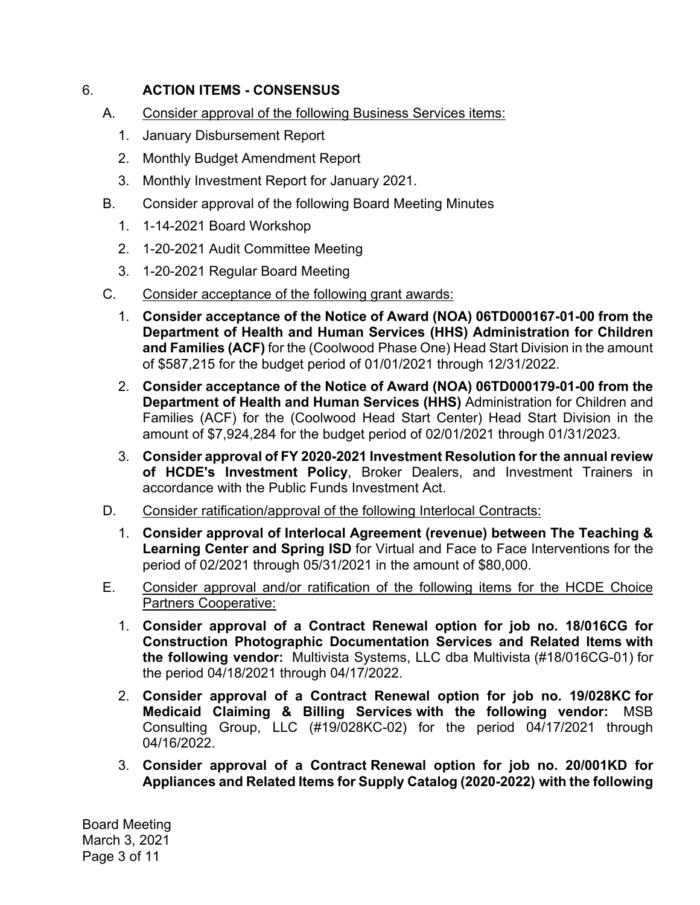# 6. **ACTION ITEMS - CONSENSUS**

- A. Consider approval of the following Business Services items:
	- 1. January Disbursement Report
	- 2. Monthly Budget Amendment Report
	- 3. Monthly Investment Report for January 2021.
- B. Consider approval of the following Board Meeting Minutes
	- 1. 1-14-2021 Board Workshop
	- 2. 1-20-2021 Audit Committee Meeting
	- 3. 1-20-2021 Regular Board Meeting
- C. Consider acceptance of the following grant awards:
	- 1. **Consider acceptance of the Notice of Award (NOA) 06TD000167-01-00 from the Department of Health and Human Services (HHS) Administration for Children and Families (ACF)** for the (Coolwood Phase One) Head Start Division in the amount of \$587,215 for the budget period of 01/01/2021 through 12/31/2022.
	- 2. **Consider acceptance of the Notice of Award (NOA) 06TD000179-01-00 from the Department of Health and Human Services (HHS)** Administration for Children and Families (ACF) for the (Coolwood Head Start Center) Head Start Division in the amount of \$7,924,284 for the budget period of 02/01/2021 through 01/31/2023.
	- 3. **Consider approval of FY 2020-2021 Investment Resolution for the annual review of HCDE's Investment Policy**, Broker Dealers, and Investment Trainers in accordance with the Public Funds Investment Act.
- D. Consider ratification/approval of the following Interlocal Contracts:
	- 1. **Consider approval of Interlocal Agreement (revenue) between The Teaching & Learning Center and Spring ISD** for Virtual and Face to Face Interventions for the period of 02/2021 through 05/31/2021 in the amount of \$80,000.
- E. Consider approval and/or ratification of the following items for the HCDE Choice Partners Cooperative:
	- 1. **Consider approval of a Contract Renewal option for job no. 18/016CG for Construction Photographic Documentation Services and Related Items with the following vendor:** Multivista Systems, LLC dba Multivista (#18/016CG-01) for the period 04/18/2021 through 04/17/2022.
	- **Medicaid Claiming & Billing Services with the following vendor:** MSB 2. **Consider approval of a Contract Renewal option for job no. 19/028KC for**  Consulting Group, LLC (#19/028KC-02) for the period 04/17/2021 through 04/16/2022.
	- 3. **Consider approval of a Contract Renewal option for job no. 20/001KD for Appliances and Related Items for Supply Catalog (2020-2022) with the following**

Board Meeting March 3, 2021 Page 3 of 11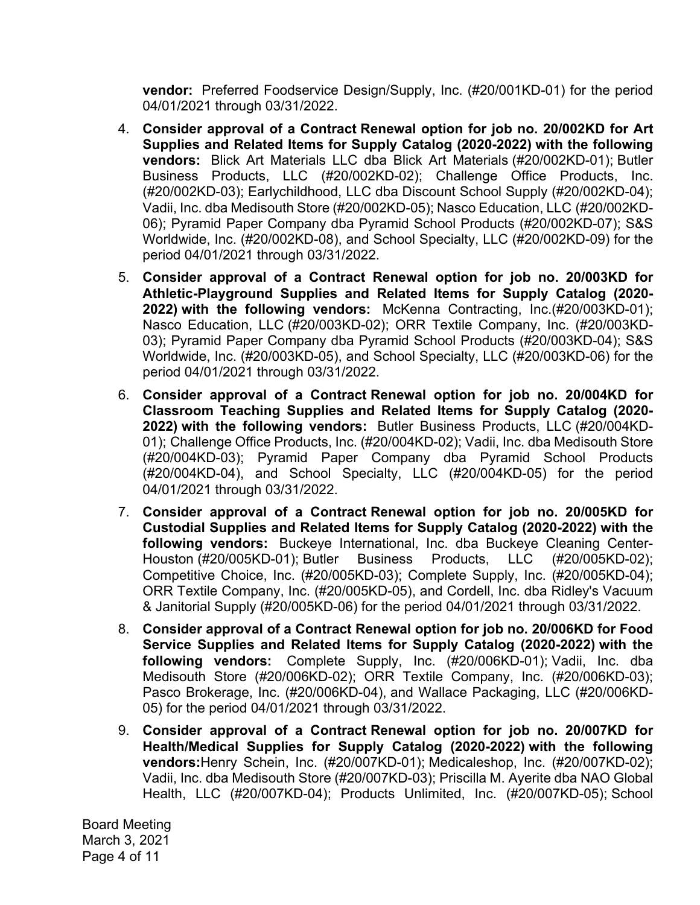**vendor:** Preferred Foodservice Design/Supply, Inc. (#20/001KD-01) for the period 04/01/2021 through 03/31/2022.

- 4. **Consider approval of a Contract Renewal option for job no. 20/002KD for Art Supplies and Related Items for Supply Catalog (2020-2022) with the following vendors:** Blick Art Materials LLC dba Blick Art Materials (#20/002KD-01); Butler Business Products, LLC (#20/002KD-02); Challenge Office Products, Inc. (#20/002KD-03); Earlychildhood, LLC dba Discount School Supply (#20/002KD-04); Vadii, Inc. dba Medisouth Store (#20/002KD-05); Nasco Education, LLC (#20/002KD-06); Pyramid Paper Company dba Pyramid School Products (#20/002KD-07); S&S Worldwide, Inc. (#20/002KD-08), and School Specialty, LLC (#20/002KD-09) for the period 04/01/2021 through 03/31/2022.
- 5. **Consider approval of a Contract Renewal option for job no. 20/003KD for Athletic-Playground Supplies and Related Items for Supply Catalog (2020- 2022) with the following vendors:** McKenna Contracting, Inc.(#20/003KD-01); Nasco Education, LLC (#20/003KD-02); ORR Textile Company, Inc. (#20/003KD-03); Pyramid Paper Company dba Pyramid School Products (#20/003KD-04); S&S Worldwide, Inc. (#20/003KD-05), and School Specialty, LLC (#20/003KD-06) for the period 04/01/2021 through 03/31/2022.
- 6. **Consider approval of a Contract Renewal option for job no. 20/004KD for Classroom Teaching Supplies and Related Items for Supply Catalog (2020- 2022) with the following vendors:** Butler Business Products, LLC (#20/004KD-01); Challenge Office Products, Inc. (#20/004KD-02); Vadii, Inc. dba Medisouth Store (#20/004KD-03); Pyramid Paper Company dba Pyramid School Products (#20/004KD-04), and School Specialty, LLC (#20/004KD-05) for the period 04/01/2021 through 03/31/2022.
- 7. **Consider approval of a Contract Renewal option for job no. 20/005KD for Custodial Supplies and Related Items for Supply Catalog (2020-2022) with the following vendors:** Buckeye International, Inc. dba Buckeye Cleaning Center-Houston (#20/005KD-01); Butler Business Products, LLC (#20/005KD-02); Competitive Choice, Inc. (#20/005KD-03); Complete Supply, Inc. (#20/005KD-04); ORR Textile Company, Inc. (#20/005KD-05), and Cordell, Inc. dba Ridley's Vacuum & Janitorial Supply (#20/005KD-06) for the period 04/01/2021 through 03/31/2022.
- 8. **Consider approval of a Contract Renewal option for job no. 20/006KD for Food Service Supplies and Related Items for Supply Catalog (2020-2022) with the following vendors:** Complete Supply, Inc. (#20/006KD-01); Vadii, Inc. dba Medisouth Store (#20/006KD-02); ORR Textile Company, Inc. (#20/006KD-03); Pasco Brokerage, Inc. (#20/006KD-04), and Wallace Packaging, LLC (#20/006KD-05) for the period 04/01/2021 through 03/31/2022.
- 9. **Consider approval of a Contract Renewal option for job no. 20/007KD for Health/Medical Supplies for Supply Catalog (2020-2022) with the following vendors:**Henry Schein, Inc. (#20/007KD-01); Medicaleshop, Inc. (#20/007KD-02); Vadii, Inc. dba Medisouth Store (#20/007KD-03); Priscilla M. Ayerite dba NAO Global Health, LLC (#20/007KD-04); Products Unlimited, Inc. (#20/007KD-05); School

Board Meeting March 3, 2021 Page 4 of 11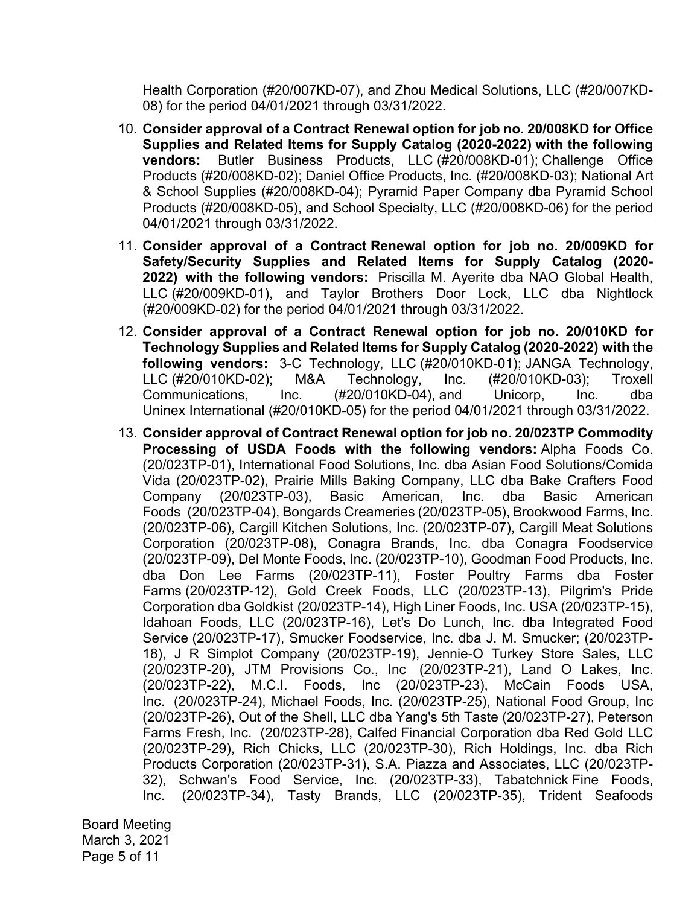Health Corporation (#20/007KD-07), and Zhou Medical Solutions, LLC (#20/007KD-08) for the period 04/01/2021 through 03/31/2022.

- 10. **Consider approval of a Contract Renewal option for job no. 20/008KD for Office Supplies and Related Items for Supply Catalog (2020-2022) with the following vendors:** Butler Business Products, LLC (#20/008KD-01); Challenge Office Products (#20/008KD-02); Daniel Office Products, Inc. (#20/008KD-03); National Art & School Supplies (#20/008KD-04); Pyramid Paper Company dba Pyramid School Products (#20/008KD-05), and School Specialty, LLC (#20/008KD-06) for the period 04/01/2021 through 03/31/2022.
- 11. **Consider approval of a Contract Renewal option for job no. 20/009KD for Safety/Security Supplies and Related Items for Supply Catalog (2020- 2022) with the following vendors:** Priscilla M. Ayerite dba NAO Global Health, LLC (#20/009KD-01), and Taylor Brothers Door Lock, LLC dba Nightlock (#20/009KD-02) for the period 04/01/2021 through 03/31/2022.
- **following vendors:** 3-C Technology, LLC (#20/010KD-01); JANGA Technology, 12. **Consider approval of a Contract Renewal option for job no. 20/010KD for Technology Supplies and Related Items for Supply Catalog (2020-2022) with the**  LLC (#20/010KD-02); M&A Technology, Inc. (#20/010KD-03); Troxell Communications, Inc. (#20/010KD-04), and Unicorp, Inc. dba Uninex International (#20/010KD-05) for the period 04/01/2021 through 03/31/2022.
- 13. **Consider approval of Contract Renewal option for job no. 20/023TP Commodity Processing of USDA Foods with the following vendors:** Alpha Foods Co. (20/023TP-01), International Food Solutions, Inc. dba Asian Food Solutions/Comida Vida (20/023TP-02), Prairie Mills Baking Company, LLC dba Bake Crafters Food Company (20/023TP-03), Basic American, Inc. dba Basic American Foods (20/023TP-04), Bongards Creameries (20/023TP-05), Brookwood Farms, Inc. (20/023TP-06), Cargill Kitchen Solutions, Inc. (20/023TP-07), Cargill Meat Solutions Corporation (20/023TP-08), Conagra Brands, Inc. dba Conagra Foodservice (20/023TP-09), Del Monte Foods, Inc. (20/023TP-10), Goodman Food Products, Inc. dba Don Lee Farms (20/023TP-11), Foster Poultry Farms dba Foster Farms (20/023TP-12), Gold Creek Foods, LLC (20/023TP-13), Pilgrim's Pride Corporation dba Goldkist (20/023TP-14), High Liner Foods, Inc. USA (20/023TP-15), Idahoan Foods, LLC (20/023TP-16), Let's Do Lunch, Inc. dba Integrated Food Service (20/023TP-17), Smucker Foodservice, Inc. dba J. M. Smucker; (20/023TP-18), J R Simplot Company (20/023TP-19), Jennie-O Turkey Store Sales, LLC (20/023TP-20), JTM Provisions Co., Inc (20/023TP-21), Land O Lakes, Inc. (20/023TP-22), M.C.I. Foods, Inc (20/023TP-23), McCain Foods USA, Inc. (20/023TP-24), Michael Foods, Inc. (20/023TP-25), National Food Group, Inc (20/023TP-26), Out of the Shell, LLC dba Yang's 5th Taste (20/023TP-27), Peterson Farms Fresh, Inc. (20/023TP-28), Calfed Financial Corporation dba Red Gold LLC (20/023TP-29), Rich Chicks, LLC (20/023TP-30), Rich Holdings, Inc. dba Rich Products Corporation (20/023TP-31), S.A. Piazza and Associates, LLC (20/023TP-32), Schwan's Food Service, Inc. (20/023TP-33), Tabatchnick Fine Foods, Inc. (20/023TP-34), Tasty Brands, LLC (20/023TP-35), Trident Seafoods

Board Meeting March 3, 2021 Page 5 of 11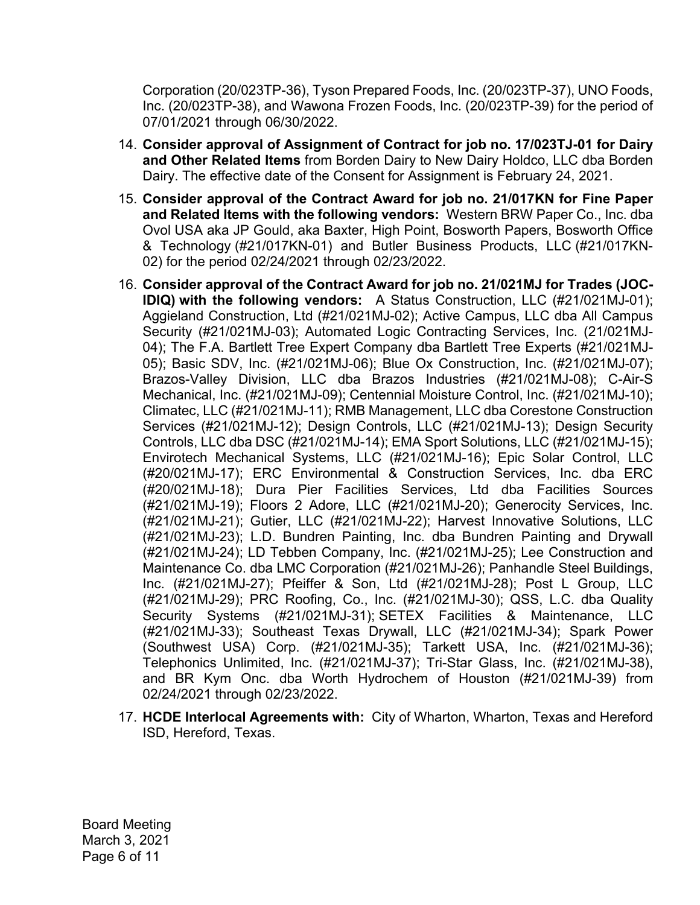Corporation (20/023TP-36), Tyson Prepared Foods, Inc. (20/023TP-37), UNO Foods, Inc. (20/023TP-38), and Wawona Frozen Foods, Inc. (20/023TP-39) for the period of 07/01/2021 through 06/30/2022.

- 14. **Consider approval of Assignment of Contract for job no. 17/023TJ-01 for Dairy and Other Related Items** from Borden Dairy to New Dairy Holdco, LLC dba Borden Dairy. The effective date of the Consent for Assignment is February 24, 2021.
- 15. **Consider approval of the Contract Award for job no. 21/017KN for Fine Paper and Related Items with the following vendors:** Western BRW Paper Co., Inc. dba Ovol USA aka JP Gould, aka Baxter, High Point, Bosworth Papers, Bosworth Office & Technology (#21/017KN-01) and Butler Business Products, LLC (#21/017KN-02) for the period 02/24/2021 through 02/23/2022.
- 16. **Consider approval of the Contract Award for job no. 21/021MJ for Trades (JOC-IDIQ) with the following vendors:** A Status Construction, LLC (#21/021MJ-01); Aggieland Construction, Ltd (#21/021MJ-02); Active Campus, LLC dba All Campus Security (#21/021MJ-03); Automated Logic Contracting Services, Inc. (21/021MJ-04); The F.A. Bartlett Tree Expert Company dba Bartlett Tree Experts (#21/021MJ-05); Basic SDV, Inc. (#21/021MJ-06); Blue Ox Construction, Inc. (#21/021MJ-07); Brazos-Valley Division, LLC dba Brazos Industries (#21/021MJ-08); C-Air-S Mechanical, Inc. (#21/021MJ-09); Centennial Moisture Control, Inc. (#21/021MJ-10); Climatec, LLC (#21/021MJ-11); RMB Management, LLC dba Corestone Construction Services (#21/021MJ-12); Design Controls, LLC (#21/021MJ-13); Design Security Controls, LLC dba DSC (#21/021MJ-14); EMA Sport Solutions, LLC (#21/021MJ-15); Envirotech Mechanical Systems, LLC (#21/021MJ-16); Epic Solar Control, LLC (#20/021MJ-17); ERC Environmental & Construction Services, Inc. dba ERC (#20/021MJ-18); Dura Pier Facilities Services, Ltd dba Facilities Sources (#21/021MJ-19); Floors 2 Adore, LLC (#21/021MJ-20); Generocity Services, Inc. (#21/021MJ-21); Gutier, LLC (#21/021MJ-22); Harvest Innovative Solutions, LLC (#21/021MJ-23); L.D. Bundren Painting, Inc. dba Bundren Painting and Drywall (#21/021MJ-24); LD Tebben Company, Inc. (#21/021MJ-25); Lee Construction and Maintenance Co. dba LMC Corporation (#21/021MJ-26); Panhandle Steel Buildings, Inc. (#21/021MJ-27); Pfeiffer & Son, Ltd (#21/021MJ-28); Post L Group, LLC (#21/021MJ-29); PRC Roofing, Co., Inc. (#21/021MJ-30); QSS, L.C. dba Quality Security Systems (#21/021MJ-31); SETEX Facilities & Maintenance, LLC (#21/021MJ-33); Southeast Texas Drywall, LLC (#21/021MJ-34); Spark Power (Southwest USA) Corp. (#21/021MJ-35); Tarkett USA, Inc. (#21/021MJ-36); Telephonics Unlimited, Inc. (#21/021MJ-37); Tri-Star Glass, Inc. (#21/021MJ-38), and BR Kym Onc. dba Worth Hydrochem of Houston (#21/021MJ-39) from 02/24/2021 through 02/23/2022.
- 17. **HCDE Interlocal Agreements with:** City of Wharton, Wharton, Texas and Hereford ISD, Hereford, Texas.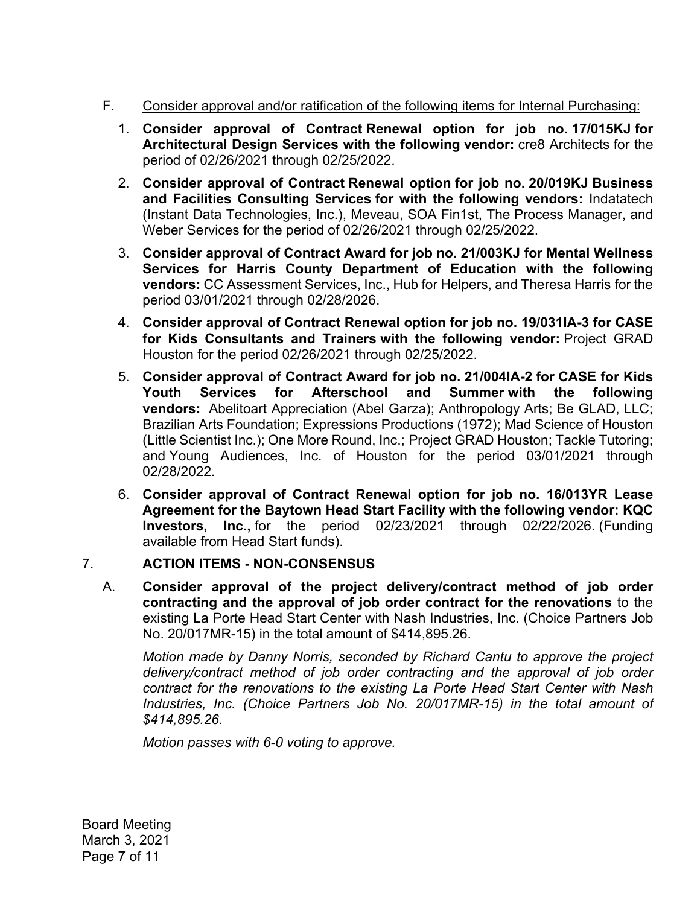# F. Consider approval and/or ratification of the following items for Internal Purchasing:

- 1. **Consider approval of Contract Renewal option for job no. 17/015KJ for Architectural Design Services with the following vendor:** cre8 Architects for the period of 02/26/2021 through 02/25/2022.
- 2. **Consider approval of Contract Renewal option for job no. 20/019KJ Business and Facilities Consulting Services for with the following vendors:** Indatatech (Instant Data Technologies, Inc.), Meveau, SOA Fin1st, The Process Manager, and Weber Services for the period of 02/26/2021 through 02/25/2022.
- 3. **Consider approval of Contract Award for job no. 21/003KJ for Mental Wellness Services for Harris County Department of Education with the following vendors:** CC Assessment Services, Inc., Hub for Helpers, and Theresa Harris for the period 03/01/2021 through 02/28/2026.
- 4. **Consider approval of Contract Renewal option for job no. 19/031IA-3 for CASE for Kids Consultants and Trainers with the following vendor:** Project GRAD Houston for the period 02/26/2021 through 02/25/2022.
- 5. **Consider approval of Contract Award for job no. 21/004IA-2 for CASE for Kids Youth Services for Afterschool and Summer with the following vendors:** Abelitoart Appreciation (Abel Garza); Anthropology Arts; Be GLAD, LLC; Brazilian Arts Foundation; Expressions Productions (1972); Mad Science of Houston (Little Scientist Inc.); One More Round, Inc.; Project GRAD Houston; Tackle Tutoring; and Young Audiences, Inc. of Houston for the period 03/01/2021 through 02/28/2022.
- 6. **Consider approval of Contract Renewal option for job no. 16/013YR Lease Agreement for the Baytown Head Start Facility with the following vendor: KQC Investors, Inc.,** for the period 02/23/2021 through 02/22/2026. (Funding available from Head Start funds).

# 7. **ACTION ITEMS - NON-CONSENSUS**

A. **Consider approval of the project delivery/contract method of job order contracting and the approval of job order contract for the renovations** to the existing La Porte Head Start Center with Nash Industries, Inc. (Choice Partners Job No. 20/017MR-15) in the total amount of \$[414,895.26](https://414,895.26).

*Motion made by Danny Norris, seconded by Richard Cantu to approve the project delivery/contract method of job order contracting and the approval of job order contract for the renovations to the existing La Porte Head Start Center with Nash Industries, Inc. (Choice Partners Job No. 20/017MR-15) in the total amount of \$[414,895.26.](https://414,895.26)* 

*Motion passes with 6-0 voting to approve.* 

Board Meeting March 3, 2021 Page 7 of 11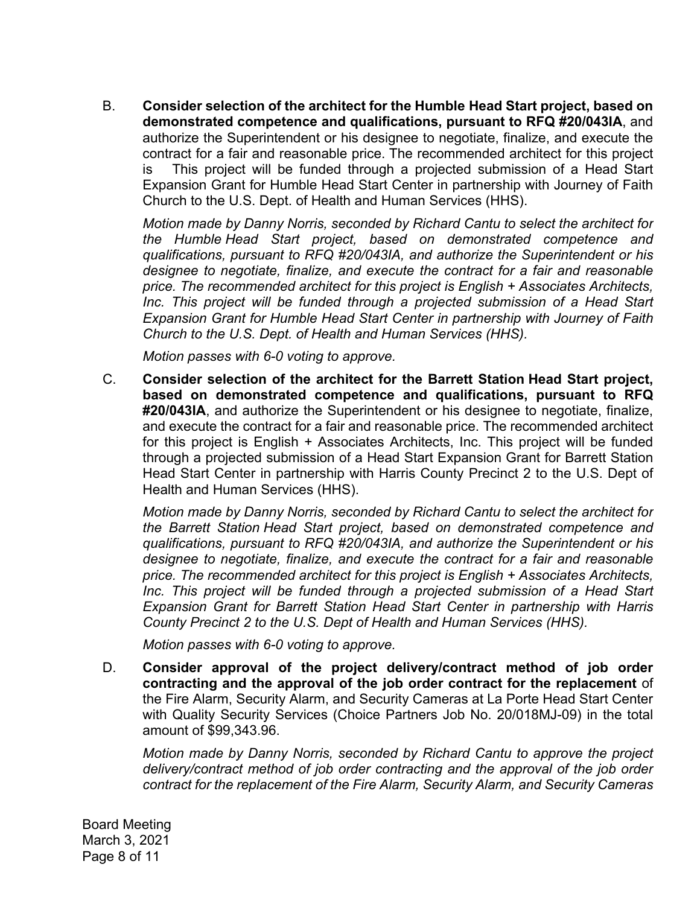B. **Consider selection of the architect for the Humble Head Start project, based on demonstrated competence and qualifications, pursuant to RFQ #20/043IA**, and authorize the Superintendent or his designee to negotiate, finalize, and execute the contract for a fair and reasonable price. The recommended architect for this project is This project will be funded through a projected submission of a Head Start Expansion Grant for Humble Head Start Center in partnership with Journey of Faith Church to the U.S. Dept. of Health and Human Services (HHS).

*Motion made by Danny Norris, seconded by Richard Cantu to select the architect for the Humble Head Start project, based on demonstrated competence and qualifications, pursuant to RFQ #20/043IA, and authorize the Superintendent or his designee to negotiate, finalize, and execute the contract for a fair and reasonable price. The recommended architect for this project is English + Associates Architects,*  Inc. This project will be funded through a projected submission of a Head Start *Expansion Grant for Humble Head Start Center in partnership with Journey of Faith Church to the U.S. Dept. of Health and Human Services (HHS).* 

*Motion passes with 6-0 voting to approve.* 

C. **Consider selection of the architect for the Barrett Station Head Start project, based on demonstrated competence and qualifications, pursuant to RFQ #20/043IA**, and authorize the Superintendent or his designee to negotiate, finalize, and execute the contract for a fair and reasonable price. The recommended architect for this project is English + Associates Architects, Inc. This project will be funded through a projected submission of a Head Start Expansion Grant for Barrett Station Head Start Center in partnership with Harris County Precinct 2 to the U.S. Dept of Health and Human Services (HHS).

*Motion made by Danny Norris, seconded by Richard Cantu to select the architect for the Barrett Station Head Start project, based on demonstrated competence and qualifications, pursuant to RFQ #20/043IA, and authorize the Superintendent or his designee to negotiate, finalize, and execute the contract for a fair and reasonable price. The recommended architect for this project is English + Associates Architects,*  Inc. This project will be funded through a projected submission of a Head Start *Expansion Grant for Barrett Station Head Start Center in partnership with Harris County Precinct 2 to the U.S. Dept of Health and Human Services (HHS).* 

*Motion passes with 6-0 voting to approve.* 

D. **Consider approval of the project delivery/contract method of job order contracting and the approval of the job order contract for the replacement** of the Fire Alarm, Security Alarm, and Security Cameras at La Porte Head Start Center with Quality Security Services (Choice Partners Job No. 20/018MJ-09) in the total amount of [\\$99,343.96.](https://99,343.96)

*Motion made by Danny Norris, seconded by Richard Cantu to approve the project delivery/contract method of job order contracting and the approval of the job order contract for the replacement of the Fire Alarm, Security Alarm, and Security Cameras* 

Board Meeting March 3, 2021 Page 8 of 11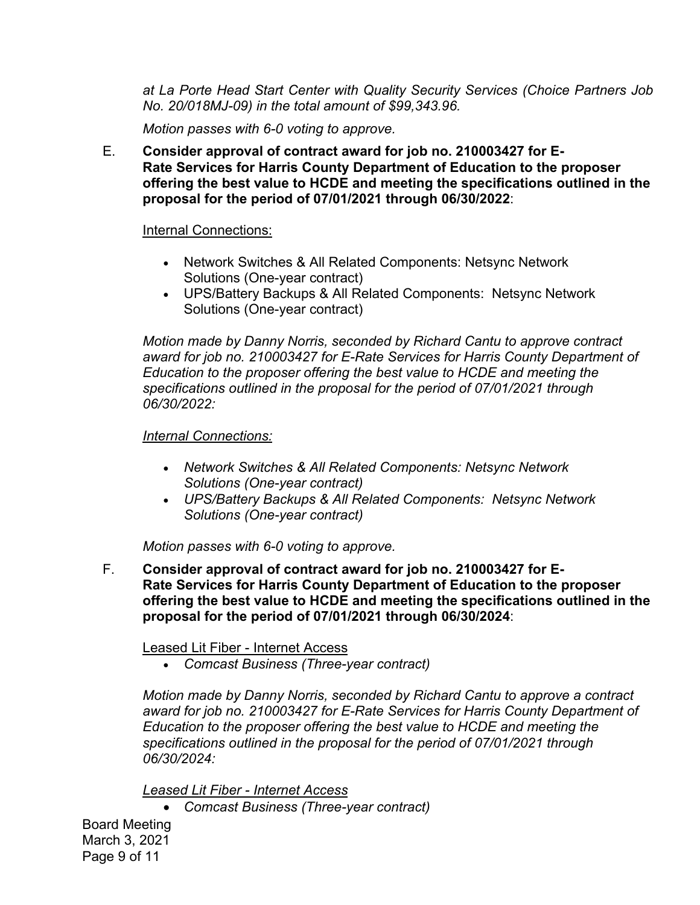*at La Porte Head Start Center with Quality Security Services (Choice Partners Job No. 20/018MJ-09) in the total amount of [\\$99,343.96.](https://99,343.96)* 

*Motion passes with 6-0 voting to approve.* 

E. **Consider approval of contract award for job no. 210003427 for E-Rate Services for Harris County Department of Education to the proposer offering the best value to HCDE and meeting the specifications outlined in the proposal for the period of 07/01/2021 through 06/30/2022**:

### Internal Connections:

- Network Switches & All Related Components: Netsync Network Solutions (One-year contract)
- UPS/Battery Backups & All Related Components: Netsync Network Solutions (One-year contract)

*Motion made by Danny Norris, seconded by Richard Cantu to approve contract award for job no. 210003427 for E-Rate Services for Harris County Department of Education to the proposer offering the best value to HCDE and meeting the specifications outlined in the proposal for the period of 07/01/2021 through 06/30/2022:* 

## *Internal Connections:*

- *Network Switches & All Related Components: Netsync Network Solutions (One-year contract)*
- *UPS/Battery Backups & All Related Components: Netsync Network Solutions (One-year contract)*

*Motion passes with 6-0 voting to approve.* 

F. **Consider approval of contract award for job no. 210003427 for E-Rate Services for Harris County Department of Education to the proposer offering the best value to HCDE and meeting the specifications outlined in the proposal for the period of 07/01/2021 through 06/30/2024**:

Leased Lit Fiber - Internet Access

*Comcast Business (Three-year contract)* 

*Motion made by Danny Norris, seconded by Richard Cantu to approve a contract award for job no. 210003427 for E-Rate Services for Harris County Department of Education to the proposer offering the best value to HCDE and meeting the specifications outlined in the proposal for the period of 07/01/2021 through 06/30/2024:* 

*Leased Lit Fiber - Internet Access* 

*Comcast Business (Three-year contract)* 

Board Meeting March 3, 2021 Page 9 of 11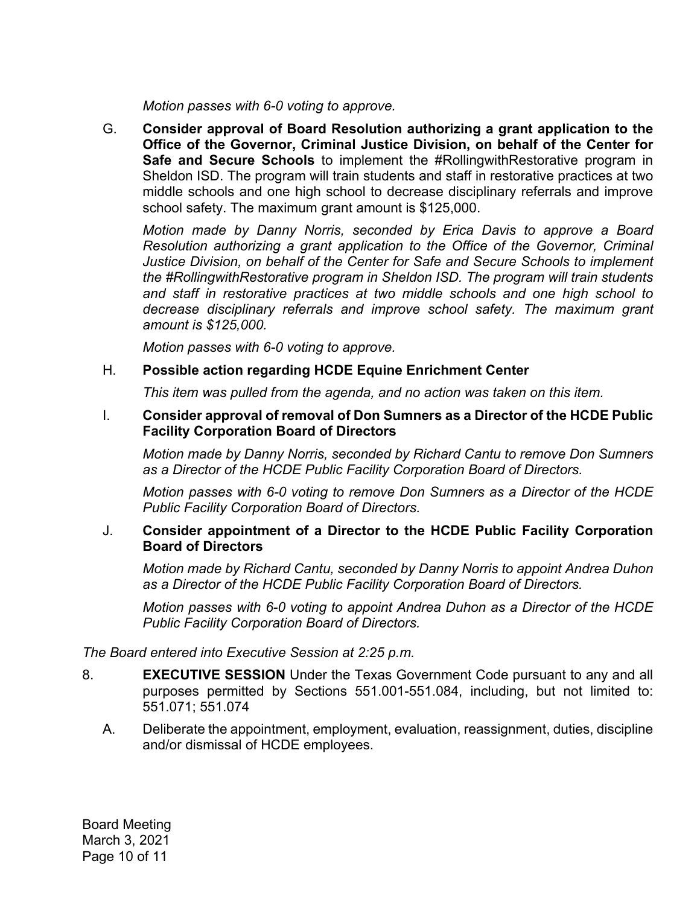*Motion passes with 6-0 voting to approve.* 

G. **Consider approval of Board Resolution authorizing a grant application to the Office of the Governor, Criminal Justice Division, on behalf of the Center for Safe and Secure Schools** to implement the #RollingwithRestorative program in Sheldon ISD. The program will train students and staff in restorative practices at two middle schools and one high school to decrease disciplinary referrals and improve school safety. The maximum grant amount is \$125,000.

*Motion made by Danny Norris, seconded by Erica Davis to approve a Board Resolution authorizing a grant application to the Office of the Governor, Criminal Justice Division, on behalf of the Center for Safe and Secure Schools to implement the #RollingwithRestorative program in Sheldon ISD. The program will train students and staff in restorative practices at two middle schools and one high school to decrease disciplinary referrals and improve school safety. The maximum grant amount is \$125,000.* 

*Motion passes with 6-0 voting to approve.* 

## H. **Possible action regarding HCDE Equine Enrichment Center**

*This item was pulled from the agenda, and no action was taken on this item.* 

### I. **Consider approval of removal of Don Sumners as a Director of the HCDE Public Facility Corporation Board of Directors**

*Motion made by Danny Norris, seconded by Richard Cantu to remove Don Sumners as a Director of the HCDE Public Facility Corporation Board of Directors.* 

*Motion passes with 6-0 voting to remove Don Sumners as a Director of the HCDE Public Facility Corporation Board of Directors.* 

## J. **Consider appointment of a Director to the HCDE Public Facility Corporation Board of Directors**

*Motion made by Richard Cantu, seconded by Danny Norris to appoint Andrea Duhon as a Director of the HCDE Public Facility Corporation Board of Directors.* 

*Motion passes with 6-0 voting to appoint Andrea Duhon as a Director of the HCDE Public Facility Corporation Board of Directors.* 

*The Board entered into Executive Session at 2:25 p.m.* 

- 8. **EXECUTIVE SESSION** Under the Texas Government Code pursuant to any and all purposes permitted by Sections 551.001-551.084, including, but not limited to: 551.071; 551.074
	- A. Deliberate the appointment, employment, evaluation, reassignment, duties, discipline and/or dismissal of HCDE employees.

Board Meeting March 3, 2021 Page 10 of 11